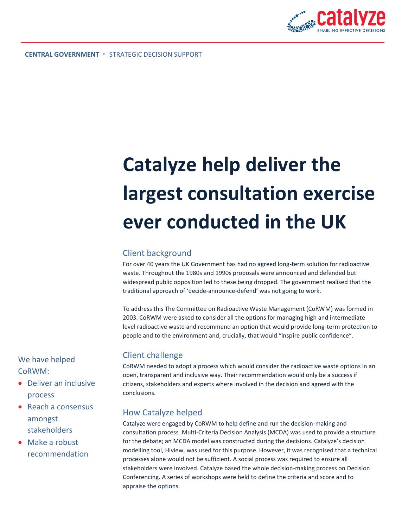

# **Catalyze help deliver the largest consultation exercise ever conducted in the UK**

#### Client background

For over 40 years the UK Government has had no agreed long-term solution for radioactive waste. Throughout the 1980s and 1990s proposals were announced and defended but widespread public opposition led to these being dropped. The government realised that the traditional approach of 'decide-announce-defend' was not going to work.

To address this The Committee on Radioactive Waste Management (CoRWM) was formed in 2003. CoRWM were asked to consider all the options for managing high and intermediate level radioactive waste and recommend an option that would provide long-term protection to people and to the environment and, crucially, that would "inspire public confidence".

## Client challenge

CoRWM needed to adopt a process which would consider the radioactive waste options in an open, transparent and inclusive way. Their recommendation would only be a success if citizens, stakeholders and experts where involved in the decision and agreed with the conclusions.

## How Catalyze helped

Catalyze were engaged by CoRWM to help define and run the decision-making and consultation process. Multi-Criteria Decision Analysis (MCDA) was used to provide a structure for the debate; an MCDA model was constructed during the decisions. Catalyze's decision modelling tool, [Hiview,](http://www.catalyze.co.uk/products/hiview) was used for this purpose. However, it was recognised that a technical processes alone would not be sufficient. A social process was required to ensure all stakeholders were involved. Catalyze based the whole decision-making process on [Decision](http://www.catalyze.co.uk/services/decisionconferencing)  [Conferencing.](http://www.catalyze.co.uk/services/decisionconferencing) A series of workshops were held to define the criteria and score and to appraise the options.

We have helped CoRWM:

- Deliver an inclusive process
- Reach a consensus amongst stakeholders
- Make a robust recommendation